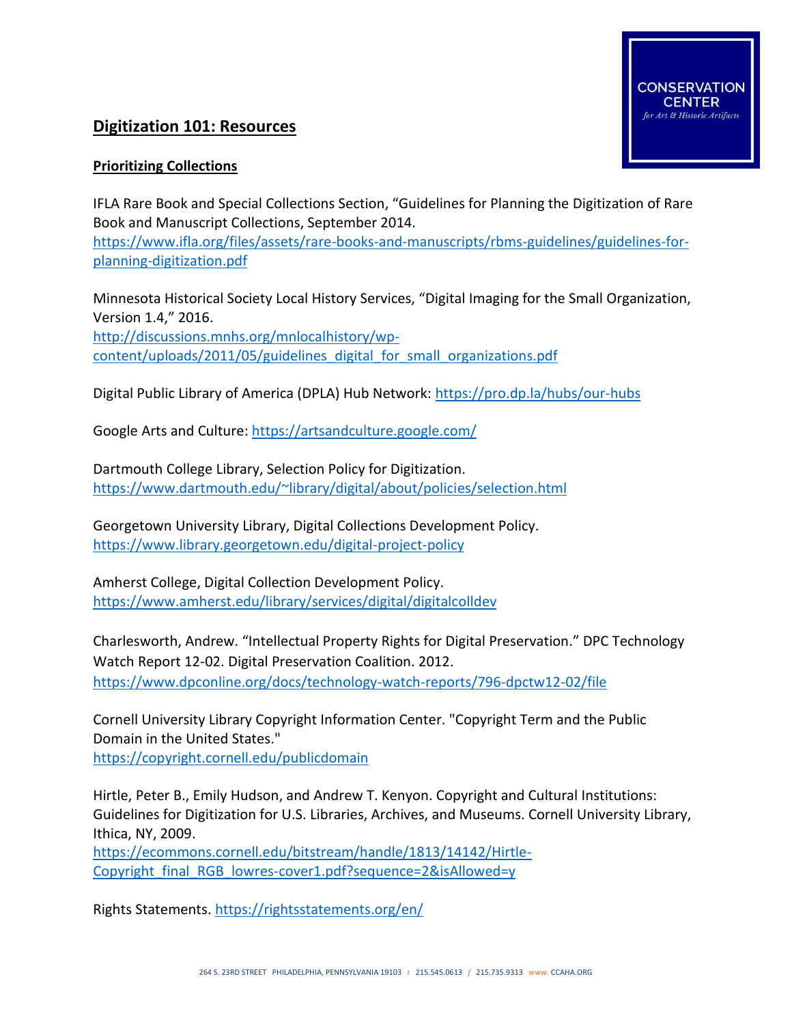# **Digitization 101: Resources**

## **Prioritizing Collections**

IFLA Rare Book and Special Collections Section, "Guidelines for Planning the Digitization of Rare Book and Manuscript Collections, September 2014.

**VATION** 

Art & Historic Artifacts

[https://www.ifla.org/files/assets/rare-books-and-manuscripts/rbms-guidelines/guidelines-for](https://www.ifla.org/files/assets/rare-books-and-manuscripts/rbms-guidelines/guidelines-for-planning-digitization.pdf)[planning-digitization.pdf](https://www.ifla.org/files/assets/rare-books-and-manuscripts/rbms-guidelines/guidelines-for-planning-digitization.pdf)

Minnesota Historical Society Local History Services, "Digital Imaging for the Small Organization, Version 1.4," 2016. [http://discussions.mnhs.org/mnlocalhistory/wp-](http://discussions.mnhs.org/mnlocalhistory/wp-content/uploads/2011/05/guidelines_digital_for_small_organizations.pdf)

[content/uploads/2011/05/guidelines\\_digital\\_for\\_small\\_organizations.pdf](http://discussions.mnhs.org/mnlocalhistory/wp-content/uploads/2011/05/guidelines_digital_for_small_organizations.pdf)

Digital Public Library of America (DPLA) Hub Network:<https://pro.dp.la/hubs/our-hubs>

Google Arts and Culture:<https://artsandculture.google.com/>

Dartmouth College Library, Selection Policy for Digitization. <https://www.dartmouth.edu/~library/digital/about/policies/selection.html>

Georgetown University Library, Digital Collections Development Policy. <https://www.library.georgetown.edu/digital-project-policy>

Amherst College, Digital Collection Development Policy. <https://www.amherst.edu/library/services/digital/digitalcolldev>

Charlesworth, Andrew. "Intellectual Property Rights for Digital Preservation." DPC Technology Watch Report 12-02. Digital Preservation Coalition. 2012. <https://www.dpconline.org/docs/technology-watch-reports/796-dpctw12-02/file>

Cornell University Library Copyright Information Center. "Copyright Term and the Public Domain in the United States."

<https://copyright.cornell.edu/publicdomain>

Hirtle, Peter B., Emily Hudson, and Andrew T. Kenyon. Copyright and Cultural Institutions: Guidelines for Digitization for U.S. Libraries, Archives, and Museums. Cornell University Library, Ithica, NY, 2009.

[https://ecommons.cornell.edu/bitstream/handle/1813/14142/Hirtle-](https://ecommons.cornell.edu/bitstream/handle/1813/14142/Hirtle-Copyright_final_RGB_lowres-cover1.pdf?sequence=2&isAllowed=y)Copyright final RGB lowres-cover1.pdf?sequence=2&isAllowed=y

Rights Statements.<https://rightsstatements.org/en/>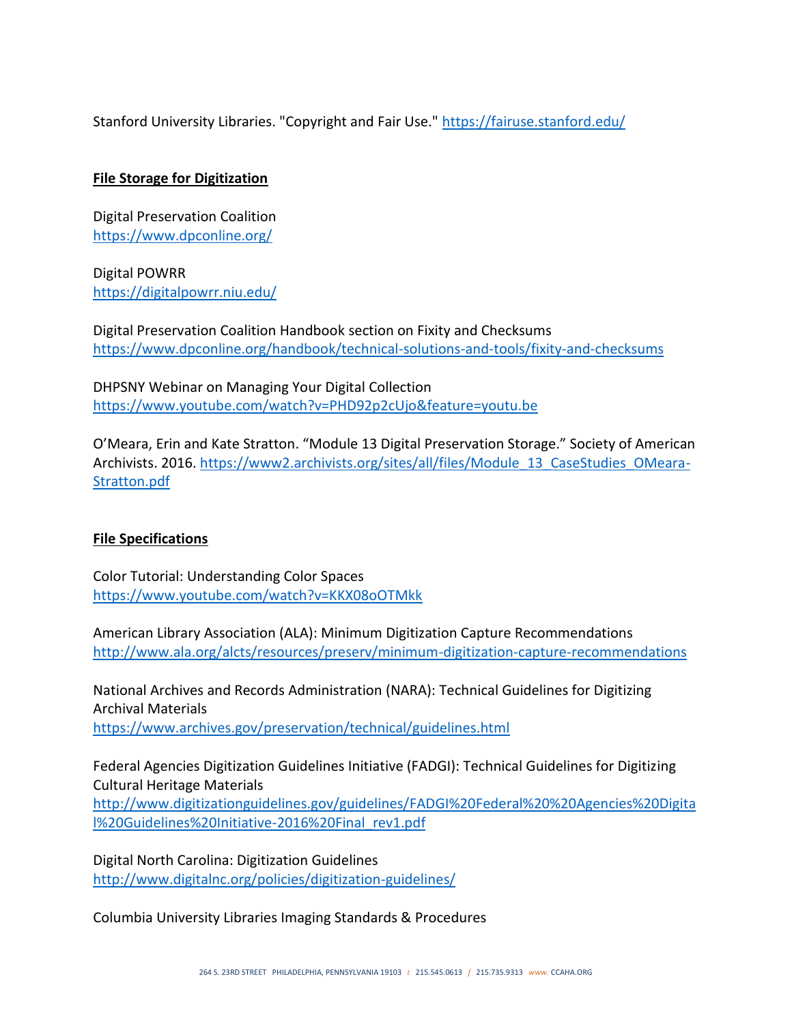Stanford University Libraries. "Copyright and Fair Use."<https://fairuse.stanford.edu/>

## **File Storage for Digitization**

Digital Preservation Coalition <https://www.dpconline.org/>

Digital POWRR <https://digitalpowrr.niu.edu/>

Digital Preservation Coalition Handbook section on Fixity and Checksums <https://www.dpconline.org/handbook/technical-solutions-and-tools/fixity-and-checksums>

DHPSNY Webinar on Managing Your Digital Collection <https://www.youtube.com/watch?v=PHD92p2cUjo&feature=youtu.be>

O'Meara, Erin and Kate Stratton. "Module 13 Digital Preservation Storage." Society of American Archivists. 2016. [https://www2.archivists.org/sites/all/files/Module\\_13\\_CaseStudies\\_OMeara-](https://www2.archivists.org/sites/all/files/Module_13_CaseStudies_OMeara-Stratton.pdf)[Stratton.pdf](https://www2.archivists.org/sites/all/files/Module_13_CaseStudies_OMeara-Stratton.pdf)

#### **File Specifications**

Color Tutorial: Understanding Color Spaces <https://www.youtube.com/watch?v=KKX08oOTMkk>

American Library Association (ALA): Minimum Digitization Capture Recommendations <http://www.ala.org/alcts/resources/preserv/minimum-digitization-capture-recommendations>

National Archives and Records Administration (NARA): Technical Guidelines for Digitizing Archival Materials <https://www.archives.gov/preservation/technical/guidelines.html>

Federal Agencies Digitization Guidelines Initiative (FADGI): Technical Guidelines for Digitizing Cultural Heritage Materials [http://www.digitizationguidelines.gov/guidelines/FADGI%20Federal%20%20Agencies%20Digita](http://www.digitizationguidelines.gov/guidelines/FADGI%20Federal%20%20Agencies%20Digital%20Guidelines%20Initiative-2016%20Final_rev1.pdf%E2%80%8B) [l%20Guidelines%20Initiative-2016%20Final\\_rev1.pdf](http://www.digitizationguidelines.gov/guidelines/FADGI%20Federal%20%20Agencies%20Digital%20Guidelines%20Initiative-2016%20Final_rev1.pdf%E2%80%8B)

Digital North Carolina: Digitization Guidelines <http://www.digitalnc.org/policies/digitization-guidelines/>

Columbia University Libraries Imaging Standards & Procedures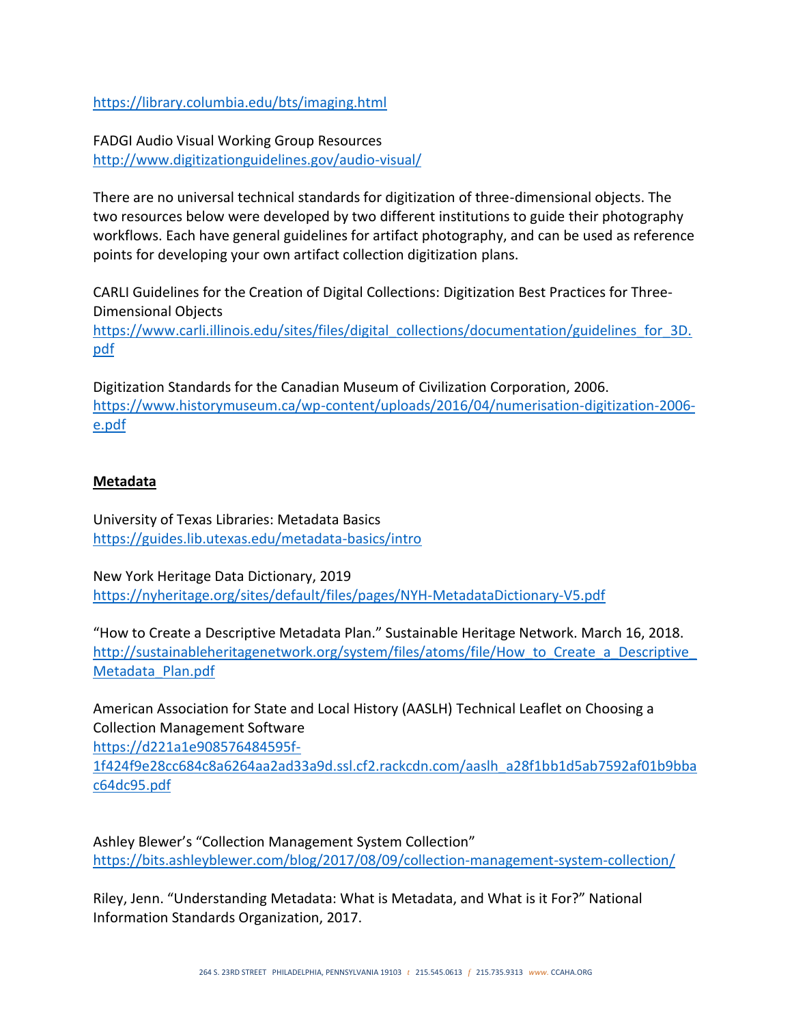<https://library.columbia.edu/bts/imaging.html>

FADGI Audio Visual Working Group Resources <http://www.digitizationguidelines.gov/audio-visual/>

There are no universal technical standards for digitization of three-dimensional objects. The two resources below were developed by two different institutions to guide their photography workflows. Each have general guidelines for artifact photography, and can be used as reference points for developing your own artifact collection digitization plans.

CARLI Guidelines for the Creation of Digital Collections: Digitization Best Practices for Three-Dimensional Objects

[https://www.carli.illinois.edu/sites/files/digital\\_collections/documentation/guidelines\\_for\\_3D.](https://www.carli.illinois.edu/sites/files/digital_collections/documentation/guidelines_for_3D.pdf) [pdf](https://www.carli.illinois.edu/sites/files/digital_collections/documentation/guidelines_for_3D.pdf)

Digitization Standards for the Canadian Museum of Civilization Corporation, 2006. [https://www.historymuseum.ca/wp-content/uploads/2016/04/numerisation-digitization-2006](https://www.historymuseum.ca/wp-content/uploads/2016/04/numerisation-digitization-2006-e.pdf) [e.pdf](https://www.historymuseum.ca/wp-content/uploads/2016/04/numerisation-digitization-2006-e.pdf)

#### **Metadata**

University of Texas Libraries: Metadata Basics [https://guides.lib.utexas.edu/metadata-basics/intro](https://guides.lib.utexas.edu/metadata-basics/intro%E2%80%8B)

New York Heritage Data Dictionary, 2019 [https://nyheritage.org/sites/default/files/pages/NYH-MetadataDictionary-V5.pdf](https://nyheritage.org/sites/default/files/pages/NYH-MetadataDictionary-V5.pdf%E2%80%8B)

"How to Create a Descriptive Metadata Plan." Sustainable Heritage Network. March 16, 2018. http://sustainableheritagenetwork.org/system/files/atoms/file/How to Create a Descriptive [Metadata\\_Plan.pdf](http://sustainableheritagenetwork.org/system/files/atoms/file/How_to_Create_a_Descriptive_Metadata_Plan.pdf)

American Association for State and Local History (AASLH) Technical Leaflet on Choosing a Collection Management Software

[https://d221a1e908576484595f-](https://d221a1e908576484595f-1f424f9e28cc684c8a6264aa2ad33a9d.ssl.cf2.rackcdn.com/aaslh_a28f1bb1d5ab7592af01b9bbac64dc95.pdf%E2%80%8B)

[1f424f9e28cc684c8a6264aa2ad33a9d.ssl.cf2.rackcdn.com/aaslh\\_a28f1bb1d5ab7592af01b9bba](https://d221a1e908576484595f-1f424f9e28cc684c8a6264aa2ad33a9d.ssl.cf2.rackcdn.com/aaslh_a28f1bb1d5ab7592af01b9bbac64dc95.pdf%E2%80%8B) [c64dc95.pdf](https://d221a1e908576484595f-1f424f9e28cc684c8a6264aa2ad33a9d.ssl.cf2.rackcdn.com/aaslh_a28f1bb1d5ab7592af01b9bbac64dc95.pdf%E2%80%8B)

Ashley Blewer's "Collection Management System Collection" <https://bits.ashleyblewer.com/blog/2017/08/09/collection-management-system-collection/>

Riley, Jenn. "Understanding Metadata: What is Metadata, and What is it For?" National Information Standards Organization, 2017.